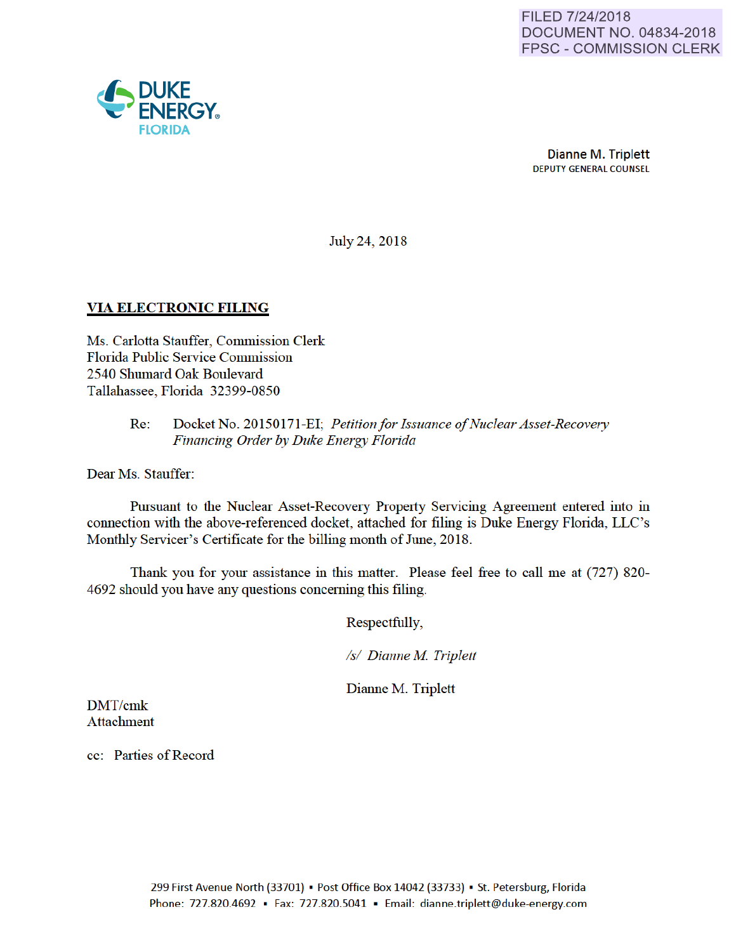

July 24, 2018

## VIA ELECTRONIC FILING

Ms. Carlotta Stauffer, Commission Clerk Florida Public Service Commission 2540 Shumard Oak Boulevard Tallahassee, Florida 32399-0850

### Re: Docket No. 20150171-EI; *Petitionfor Issuance of Nuclear Asset-Recovery Financing Order by Duke Energy Florida*

Dear Ms. Stauffer:

Pursuant to the Nuclear Asset-Recovery Property Servicing Agreement entered into in connection with the above-referenced docket, attached for filing is Duke Energy Florida, LLC's Monthly Servicer's Certificate for the billing month of June, 2018.

Thank you for your assistance in this matter. Please feel free to call me at (727) 820- 4692 should you have any questions conceming this filing.

Respectfully,

*Is/ Dianne M Triplett* 

Dianne M. Triplett

DMT/cmk Attachment

cc: Parties of Record

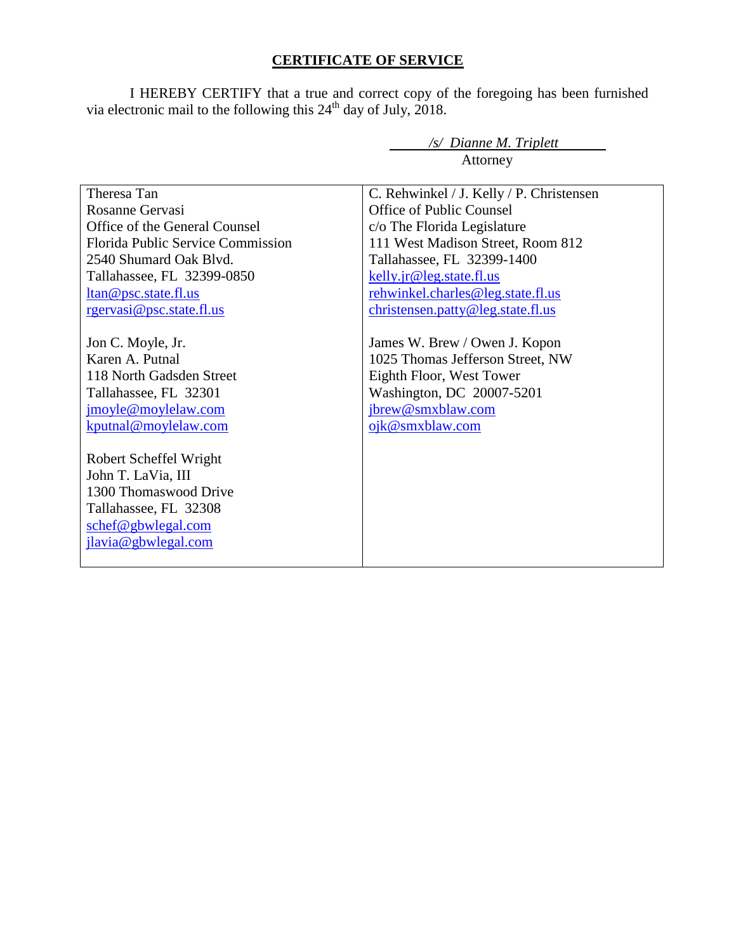# **CERTIFICATE OF SERVICE**

I HEREBY CERTIFY that a true and correct copy of the foregoing has been furnished via electronic mail to the following this  $24<sup>th</sup>$  day of July, 2018.

*/s/ Dianne M. Triplett* 

|                                                                                                                                                                                                                                                                                         | Attorney                                                                                                                                                                                                                                                                     |  |
|-----------------------------------------------------------------------------------------------------------------------------------------------------------------------------------------------------------------------------------------------------------------------------------------|------------------------------------------------------------------------------------------------------------------------------------------------------------------------------------------------------------------------------------------------------------------------------|--|
| Theresa Tan<br>Rosanne Gervasi<br>Office of the General Counsel<br><b>Florida Public Service Commission</b><br>2540 Shumard Oak Blyd.<br>Tallahassee, FL 32399-0850<br>ltan@psc.state.fl.us<br>rgervasi@psc.state.fl.us                                                                 | C. Rehwinkel / J. Kelly / P. Christensen<br>Office of Public Counsel<br>c/o The Florida Legislature<br>111 West Madison Street, Room 812<br>Tallahassee, FL 32399-1400<br>kelly.jr@leg.state.fl.us<br>rehwinkel.charles@leg.state.fl.us<br>christensen.patty@leg.state.fl.us |  |
| Jon C. Moyle, Jr.<br>Karen A. Putnal<br>118 North Gadsden Street<br>Tallahassee, FL 32301<br>jmoyle@moylelaw.com<br>kputnal@moylelaw.com<br>Robert Scheffel Wright<br>John T. LaVia, III<br>1300 Thomaswood Drive<br>Tallahassee, FL 32308<br>schef@gbwlegal.com<br>jlavia@gbwlegal.com | James W. Brew / Owen J. Kopon<br>1025 Thomas Jefferson Street, NW<br>Eighth Floor, West Tower<br>Washington, DC 20007-5201<br>jbrew@smxblaw.com<br>ojk@smxblaw.com                                                                                                           |  |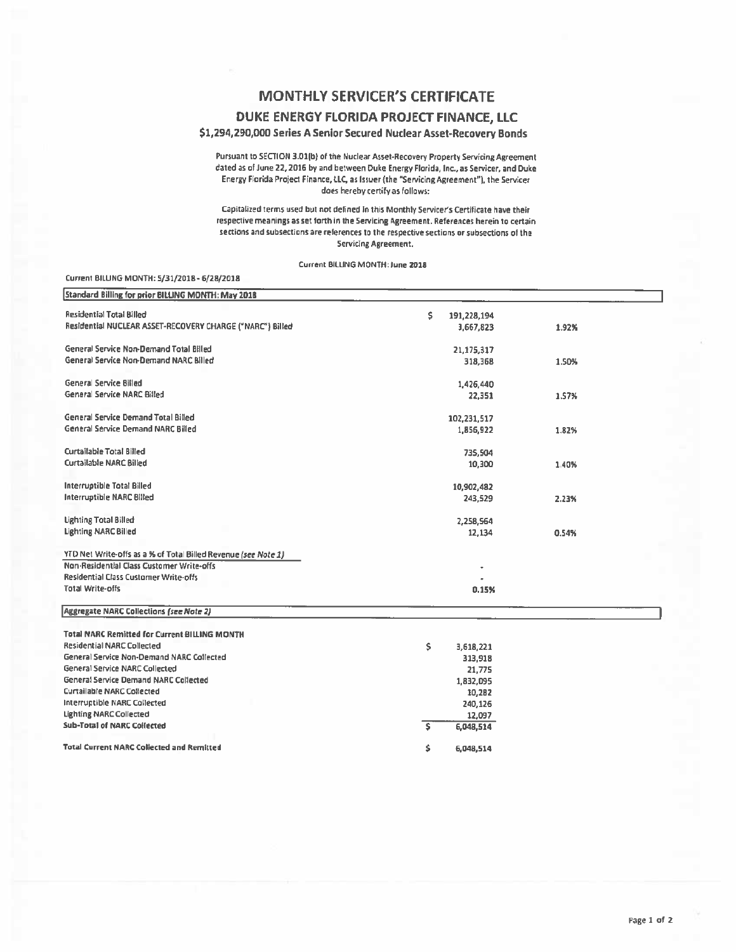## **MONTHLY SERVICER'S CERTIFICATE**

#### DUKE ENERGY FLORIDA PROJECT FINANCE, LLC

#### \$1,294,290,000 Series A Senior Secured Nuclear Asset-Recovery Bonds

Pursuant to SECTION 3.01(b) of the Nuclear Asset-Recovery Property Servicing Agreement dated as of June 22, 2016 by and between Duke Energy Florida, Inc., as Servicer, and Duke Energy Fiorida Project Finance, LLC, as Issuer (the "Servicing Agreement"), the Servicer does hereby certify as follows:

Capitalized terms used but not defined in this Monthly Servicer's Certificate have their respective meanings as set forth in the Servicing Agreement. References herein to certain sections and subsections are references to the respective sections or subsections of the Servicing Agreement.

Current BILLING MONTH: June 2018

#### Current BILLING MONTH: 5/31/2018 - 6/28/2018

| Standard Billing for prior BILLING MONTH: May 2018             |                  |       |
|----------------------------------------------------------------|------------------|-------|
| <b>Residential Total Billed</b>                                | s<br>191,228,194 |       |
| Residential NUCLEAR ASSET-RECOVERY CHARGE ("NARC") Billed      | 3,667,823        | 1.92% |
| General Service Non-Demand Total Billed                        | 21,175,317       |       |
| General Service Non-Demand NARC Billed                         | 318,368          | 1.50% |
| General Service Billed                                         | 1,426,440        |       |
| General Service NARC Billed                                    | 22,351           | 1.57% |
| <b>General Service Demand Total Billed</b>                     | 102,231,517      |       |
| <b>General Service Demand NARC Billed</b>                      | 1,856,922        | 1.82% |
| Curtailable Total Billed                                       | 735,504          |       |
| <b>Curtailable NARC Billed</b>                                 | 10,300           | 1.40% |
| Interruptible Total Billed                                     | 10,902,482       |       |
| Interruptible NARC Billed                                      | 243,529          | 2.23% |
| <b>Lighting Total Billed</b>                                   | 2,258,564        |       |
| <b>Lighting NARC Billed</b>                                    | 12,134           | 0.54% |
| YTD Net Write-offs as a % of Total Billed Revenue (see Note 1) |                  |       |
| Non-Residential Class Customer Write-offs                      |                  |       |
| Residential Class Customer Write-offs                          |                  |       |
| <b>Total Write-offs</b>                                        | 0.15%            |       |
| Aggregate NARC Collections (see Note 2)                        |                  |       |
| <b>Total NARC Remitted for Current BILLING MONTH</b>           |                  |       |
| <b>Residential NARC Collected</b>                              | \$<br>3,618,221  |       |
| General Service Non-Demand NARC Collected                      | 313,918          |       |
| General Service NARC Collected                                 | 21,775           |       |
| <b>General Service Demand NARC Collected</b>                   | 1,832,095        |       |
| <b>Curtailable NARC Collected</b>                              | 10,282           |       |
| Interruptible NARC Collected                                   | 240,126          |       |
| <b>Lighting NARC Collected</b>                                 | 12,097           |       |
| <b>Sub-Total of NARC Collected</b>                             | \$.<br>6,048,514 |       |
| <b>Total Current NARC Collected and Remitted</b>               | Ś.<br>6,048,514  |       |